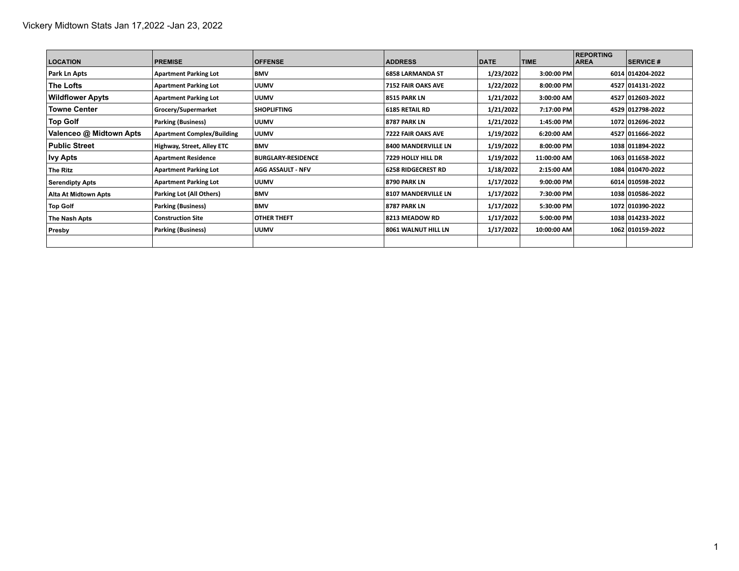| <b>LOCATION</b>             | <b>PREMISE</b>                    | <b>OFFENSE</b>            | <b>ADDRESS</b>             | <b>DATE</b> | <b>TIME</b> | <b>REPORTING</b><br><b>AREA</b> | <b>SERVICE #</b> |
|-----------------------------|-----------------------------------|---------------------------|----------------------------|-------------|-------------|---------------------------------|------------------|
| Park Ln Apts                | <b>Apartment Parking Lot</b>      | <b>BMV</b>                | <b>6858 LARMANDA ST</b>    | 1/23/2022   | 3:00:00 PM  |                                 | 6014 014204-2022 |
| The Lofts                   | <b>Apartment Parking Lot</b>      | <b>UUMV</b>               | <b>7152 FAIR OAKS AVE</b>  | 1/22/2022   | 8:00:00 PM  |                                 | 4527 014131-2022 |
| <b>Wildflower Apyts</b>     | <b>Apartment Parking Lot</b>      | <b>UUMV</b>               | 8515 PARK LN               | 1/21/2022   | 3:00:00 AM  |                                 | 4527 012603-2022 |
| <b>Towne Center</b>         | Grocery/Supermarket               | <b>SHOPLIFTING</b>        | <b>6185 RETAIL RD</b>      | 1/21/2022   | 7:17:00 PM  |                                 | 4529 012798-2022 |
| <b>Top Golf</b>             | <b>Parking (Business)</b>         | <b>UUMV</b>               | <b>8787 PARK LN</b>        | 1/21/2022   | 1:45:00 PM  |                                 | 1072 012696-2022 |
| Valenceo @ Midtown Apts     | <b>Apartment Complex/Building</b> | <b>UUMV</b>               | 7222 FAIR OAKS AVE         | 1/19/2022   | 6:20:00 AM  |                                 | 4527 011666-2022 |
| <b>Public Street</b>        | Highway, Street, Alley ETC        | <b>BMV</b>                | <b>8400 MANDERVILLE LN</b> | 1/19/2022   | 8:00:00 PM  |                                 | 1038 011894-2022 |
| <b>Ivy Apts</b>             | <b>Apartment Residence</b>        | <b>BURGLARY-RESIDENCE</b> | <b>7229 HOLLY HILL DR</b>  | 1/19/2022   | 11:00:00 AM |                                 | 1063 011658-2022 |
| The Ritz                    | <b>Apartment Parking Lot</b>      | <b>AGG ASSAULT - NFV</b>  | <b>6258 RIDGECREST RD</b>  | 1/18/2022   | 2:15:00 AM  |                                 | 1084 010470-2022 |
| <b>Serendipty Apts</b>      | <b>Apartment Parking Lot</b>      | <b>UUMV</b>               | <b>8790 PARK LN</b>        | 1/17/2022   | 9:00:00 PM  |                                 | 6014 010598-2022 |
| <b>Alta At Midtown Apts</b> | <b>Parking Lot (All Others)</b>   | <b>BMV</b>                | <b>8107 MANDERVILLE LN</b> | 1/17/2022   | 7:30:00 PM  |                                 | 1038 010586-2022 |
| <b>Top Golf</b>             | <b>Parking (Business)</b>         | <b>BMV</b>                | <b>8787 PARK LN</b>        | 1/17/2022   | 5:30:00 PM  |                                 | 1072 010390-2022 |
| The Nash Apts               | <b>Construction Site</b>          | OTHER THEFT               | 8213 MEADOW RD             | 1/17/2022   | 5:00:00 PM  |                                 | 1038 014233-2022 |
| Presby                      | <b>Parking (Business)</b>         | <b>IUUMV</b>              | 8061 WALNUT HILL LN        | 1/17/2022   | 10:00:00 AM |                                 | 1062 010159-2022 |
|                             |                                   |                           |                            |             |             |                                 |                  |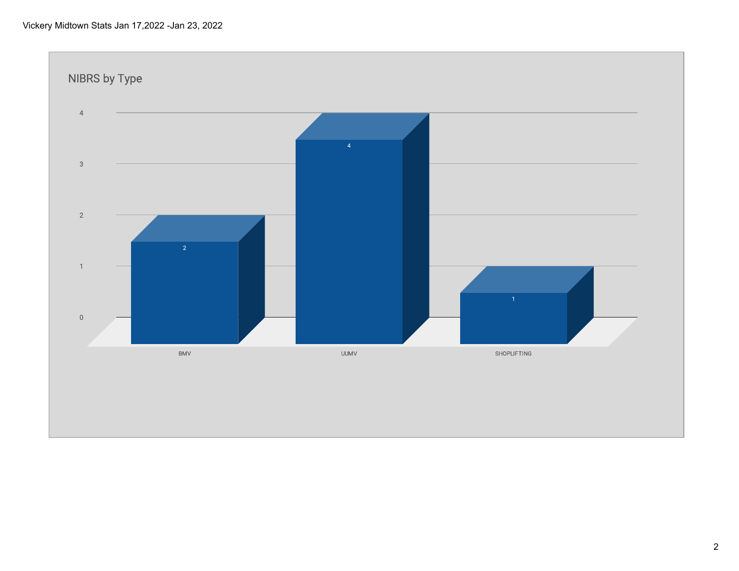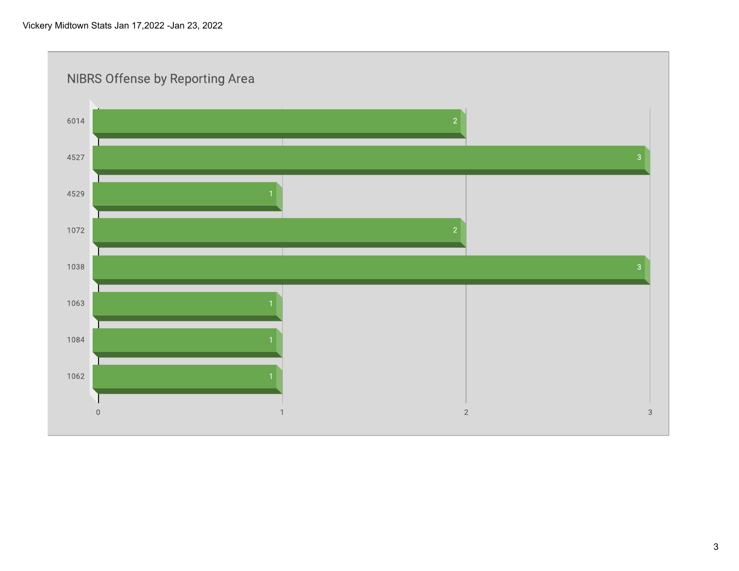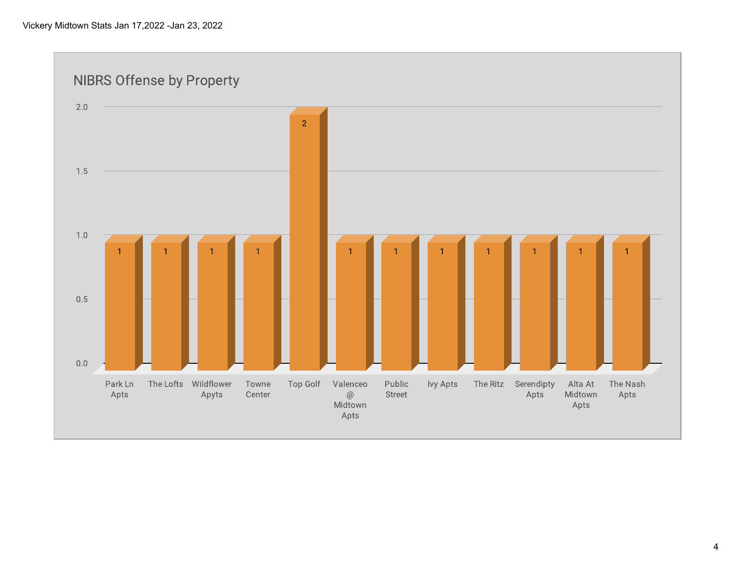